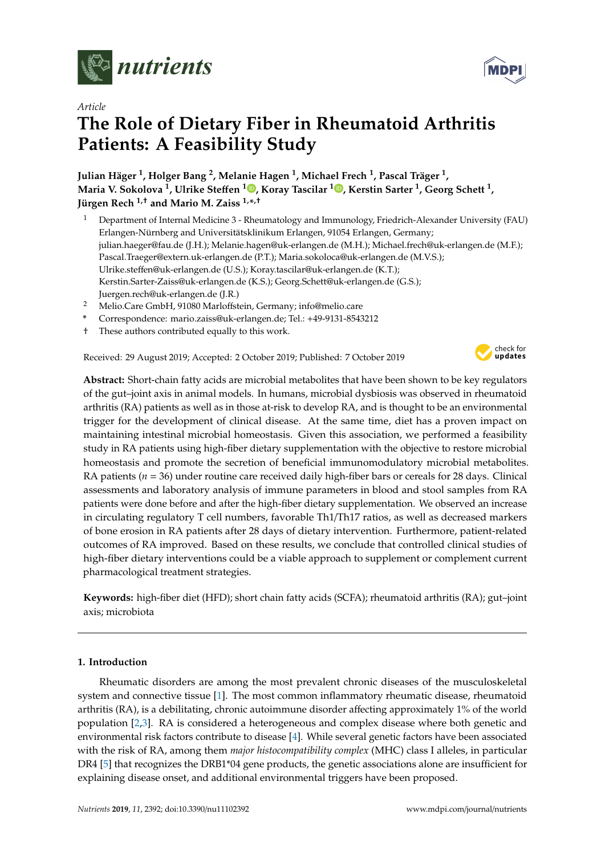

*Article*

# **The Role of Dietary Fiber in Rheumatoid Arthritis Patients: A Feasibility Study**

**Julian Häger <sup>1</sup> , Holger Bang <sup>2</sup> , Melanie Hagen <sup>1</sup> , Michael Frech <sup>1</sup> , Pascal Träger <sup>1</sup> , Maria V. Sokolova <sup>1</sup> , Ulrike Ste**ff**en <sup>1</sup> [,](https://orcid.org/0000-0003-2934-3202) Koray Tascilar <sup>1</sup> [,](https://orcid.org/0000-0002-8109-826X) Kerstin Sarter <sup>1</sup> , Georg Schett <sup>1</sup> , Jürgen Rech 1,**† **and Mario M. Zaiss 1,\* ,**†

- <sup>1</sup> Department of Internal Medicine 3 Rheumatology and Immunology, Friedrich-Alexander University (FAU) Erlangen-Nürnberg and Universitätsklinikum Erlangen, 91054 Erlangen, Germany; julian.haeger@fau.de (J.H.); Melanie.hagen@uk-erlangen.de (M.H.); Michael.frech@uk-erlangen.de (M.F.); Pascal.Traeger@extern.uk-erlangen.de (P.T.); Maria.sokoloca@uk-erlangen.de (M.V.S.); Ulrike.steffen@uk-erlangen.de (U.S.); Koray.tascilar@uk-erlangen.de (K.T.); Kerstin.Sarter-Zaiss@uk-erlangen.de (K.S.); Georg.Schett@uk-erlangen.de (G.S.); Juergen.rech@uk-erlangen.de (J.R.)
- <sup>2</sup> Melio.Care GmbH, 91080 Marloffstein, Germany; info@melio.care
- **\*** Correspondence: mario.zaiss@uk-erlangen.de; Tel.: +49-9131-8543212
- † These authors contributed equally to this work.

Received: 29 August 2019; Accepted: 2 October 2019; Published: 7 October 2019



**Abstract:** Short-chain fatty acids are microbial metabolites that have been shown to be key regulators of the gut–joint axis in animal models. In humans, microbial dysbiosis was observed in rheumatoid arthritis (RA) patients as well as in those at-risk to develop RA, and is thought to be an environmental trigger for the development of clinical disease. At the same time, diet has a proven impact on maintaining intestinal microbial homeostasis. Given this association, we performed a feasibility study in RA patients using high-fiber dietary supplementation with the objective to restore microbial homeostasis and promote the secretion of beneficial immunomodulatory microbial metabolites. RA patients (*n* = 36) under routine care received daily high-fiber bars or cereals for 28 days. Clinical assessments and laboratory analysis of immune parameters in blood and stool samples from RA patients were done before and after the high-fiber dietary supplementation. We observed an increase in circulating regulatory T cell numbers, favorable Th1/Th17 ratios, as well as decreased markers of bone erosion in RA patients after 28 days of dietary intervention. Furthermore, patient-related outcomes of RA improved. Based on these results, we conclude that controlled clinical studies of high-fiber dietary interventions could be a viable approach to supplement or complement current pharmacological treatment strategies.

**Keywords:** high-fiber diet (HFD); short chain fatty acids (SCFA); rheumatoid arthritis (RA); gut–joint axis; microbiota

# **1. Introduction**

Rheumatic disorders are among the most prevalent chronic diseases of the musculoskeletal system and connective tissue [\[1\]](#page-10-0). The most common inflammatory rheumatic disease, rheumatoid arthritis (RA), is a debilitating, chronic autoimmune disorder affecting approximately 1% of the world population [\[2](#page-10-1)[,3\]](#page-10-2). RA is considered a heterogeneous and complex disease where both genetic and environmental risk factors contribute to disease [\[4\]](#page-10-3). While several genetic factors have been associated with the risk of RA, among them *major histocompatibility complex* (MHC) class I alleles, in particular DR4 [\[5\]](#page-10-4) that recognizes the DRB1\*04 gene products, the genetic associations alone are insufficient for explaining disease onset, and additional environmental triggers have been proposed.

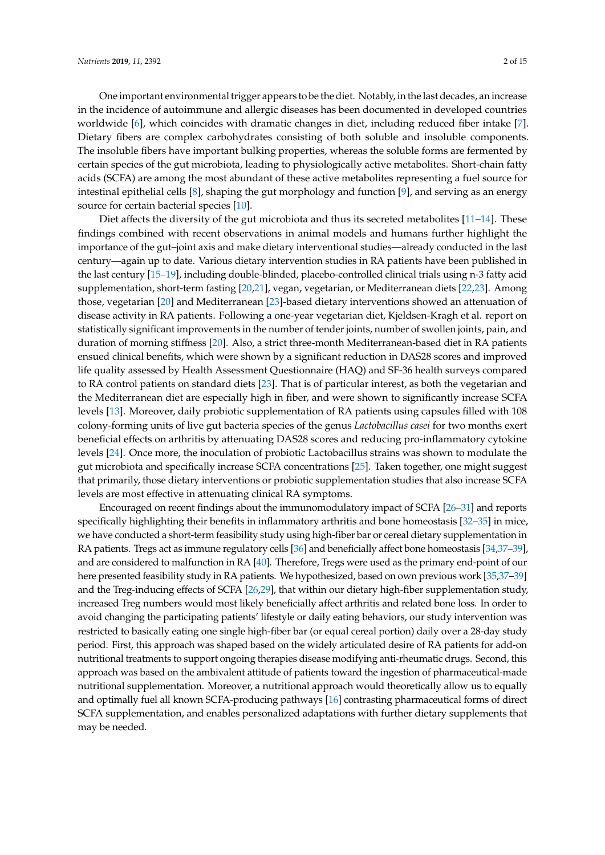One important environmental trigger appears to be the diet. Notably, in the last decades, an increase in the incidence of autoimmune and allergic diseases has been documented in developed countries worldwide [\[6\]](#page-10-5), which coincides with dramatic changes in diet, including reduced fiber intake [\[7\]](#page-10-6). Dietary fibers are complex carbohydrates consisting of both soluble and insoluble components. The insoluble fibers have important bulking properties, whereas the soluble forms are fermented by certain species of the gut microbiota, leading to physiologically active metabolites. Short-chain fatty acids (SCFA) are among the most abundant of these active metabolites representing a fuel source for intestinal epithelial cells [\[8\]](#page-10-7), shaping the gut morphology and function [\[9\]](#page-10-8), and serving as an energy source for certain bacterial species [\[10\]](#page-10-9).

Diet affects the diversity of the gut microbiota and thus its secreted metabolites [\[11](#page-10-10)[–14\]](#page-10-11). These findings combined with recent observations in animal models and humans further highlight the importance of the gut–joint axis and make dietary interventional studies—already conducted in the last century—again up to date. Various dietary intervention studies in RA patients have been published in the last century [\[15](#page-11-0)[–19\]](#page-11-1), including double-blinded, placebo-controlled clinical trials using n-3 fatty acid supplementation, short-term fasting [\[20](#page-11-2)[,21\]](#page-11-3), vegan, vegetarian, or Mediterranean diets [\[22,](#page-11-4)[23\]](#page-11-5). Among those, vegetarian [\[20\]](#page-11-2) and Mediterranean [\[23\]](#page-11-5)-based dietary interventions showed an attenuation of disease activity in RA patients. Following a one-year vegetarian diet, Kjeldsen-Kragh et al. report on statistically significant improvements in the number of tender joints, number of swollen joints, pain, and duration of morning stiffness [\[20\]](#page-11-2). Also, a strict three-month Mediterranean-based diet in RA patients ensued clinical benefits, which were shown by a significant reduction in DAS28 scores and improved life quality assessed by Health Assessment Questionnaire (HAQ) and SF-36 health surveys compared to RA control patients on standard diets [\[23\]](#page-11-5). That is of particular interest, as both the vegetarian and the Mediterranean diet are especially high in fiber, and were shown to significantly increase SCFA levels [\[13\]](#page-10-12). Moreover, daily probiotic supplementation of RA patients using capsules filled with 108 colony-forming units of live gut bacteria species of the genus *Lactobacillus casei* for two months exert beneficial effects on arthritis by attenuating DAS28 scores and reducing pro-inflammatory cytokine levels [\[24\]](#page-11-6). Once more, the inoculation of probiotic Lactobacillus strains was shown to modulate the gut microbiota and specifically increase SCFA concentrations [\[25\]](#page-11-7). Taken together, one might suggest that primarily, those dietary interventions or probiotic supplementation studies that also increase SCFA levels are most effective in attenuating clinical RA symptoms.

Encouraged on recent findings about the immunomodulatory impact of SCFA [\[26–](#page-11-8)[31\]](#page-11-9) and reports specifically highlighting their benefits in inflammatory arthritis and bone homeostasis [\[32](#page-11-10)[–35\]](#page-11-11) in mice, we have conducted a short-term feasibility study using high-fiber bar or cereal dietary supplementation in RA patients. Tregs act as immune regulatory cells [\[36\]](#page-12-0) and beneficially affect bone homeostasis [\[34,](#page-11-12)[37–](#page-12-1)[39\]](#page-12-2), and are considered to malfunction in RA [\[40\]](#page-12-3). Therefore, Tregs were used as the primary end-point of our here presented feasibility study in RA patients. We hypothesized, based on own previous work [\[35](#page-11-11)[,37–](#page-12-1)[39\]](#page-12-2) and the Treg-inducing effects of SCFA [\[26](#page-11-8)[,29\]](#page-11-13), that within our dietary high-fiber supplementation study, increased Treg numbers would most likely beneficially affect arthritis and related bone loss. In order to avoid changing the participating patients' lifestyle or daily eating behaviors, our study intervention was restricted to basically eating one single high-fiber bar (or equal cereal portion) daily over a 28-day study period. First, this approach was shaped based on the widely articulated desire of RA patients for add-on nutritional treatments to support ongoing therapies disease modifying anti-rheumatic drugs. Second, this approach was based on the ambivalent attitude of patients toward the ingestion of pharmaceutical-made nutritional supplementation. Moreover, a nutritional approach would theoretically allow us to equally and optimally fuel all known SCFA-producing pathways [\[16\]](#page-11-14) contrasting pharmaceutical forms of direct SCFA supplementation, and enables personalized adaptations with further dietary supplements that may be needed.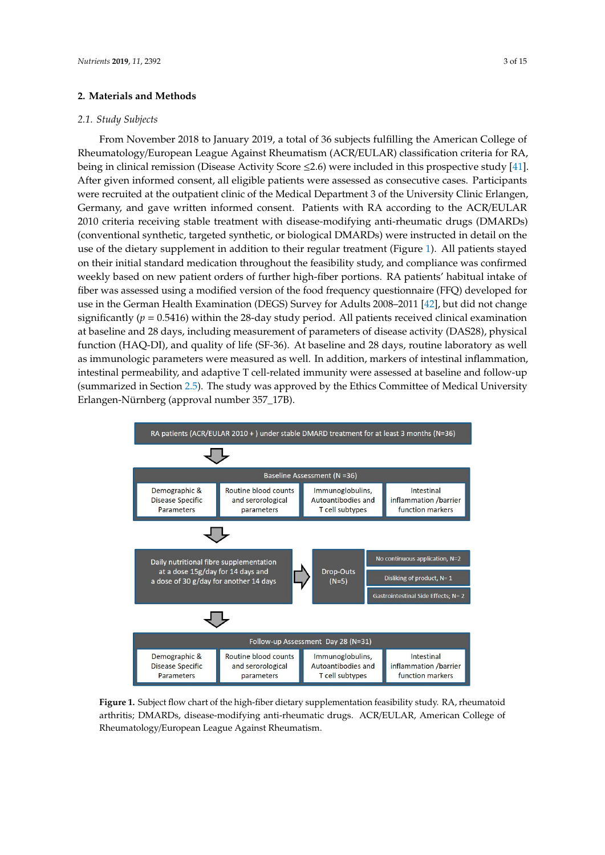# **2. Materials and Methods**

# *2.1. Study Subjects*

From November 2018 to January 2019, a total of 36 subjects fulfilling the American College of From November 2018 to January 2019, a total of 36 subjects fulfilling the American College of Rheumatology/European League Against Rheumatism (ACR/EULAR) classification criteria for RA, Rheumatology/European League Against Rheumatism (ACR/EULAR) classification criteria for RA, being in clinical remission (Disease Activity Score ≤2.6) were included in this prospective study [\[41\]](#page-12-4). After given informed consent, all eligible patients were assessed as consecutive cases. Participants After given informed consent, all eligible patients were assessed as consecutive cases. Participants were recruited at the outpatient clinic of the Medical Department 3 of the University Clinic Erlangen, were recruited at the outpatient clinic of the Medical Department 3 of the University Clinic Erlangen, Germany, and gave written informed consent. Patients with RA according to the ACR/EULAR Germany, and gave written informed consent. Patients with RA according to the ACR/EULAR 2010 2010 criteria receiving stable treatment with disease-modifying anti-rheumatic drugs (DMARDs) (conventional synthetic, targeted synthetic, or biological DMARDs) were instructed in detail on the (conventional synthetic, targeted synthetic, or biological DMARDs) were instructed in detail on the use of the dietary supplement in addition to their regular treatment (Figure 1)[. A](#page-2-0)ll patients stayed on their initial standard medication throughout the feasibility study, and compliance was confirmed their initial standard medication throughout the feasibility study, and compliance was confirmed weekly based on new patient orders of further high-fiber portions. RA patients' habitual intake of weekly based on new patient orders of further high-fiber portions. RA patients' habitual intake of<br>fiber was assessed using a modified version of the food frequency questionnaire (FFQ) developed for use in the German Health Examination (DEGS) Survey for Adults 2008–2011 [\[42\]](#page-12-5), but did not change use in the German Health Examination (DEGS) Survey for Adults 2008–2011 [42], but did not change significantly (*p* = 0.5416) within the 28-day study period. All patients received clinical examination at baseline and 28 days, including measurement of parameters of disease activity (DAS28), physical baseline and 28 days, including measurement of parameters of disease activity (DAS28), physical function (HAQ-DI), and quality of life (SF-36). At baseline and 28 days, routine laboratory as well as immunologic parameters were measured as well. In addition, markers of intestinal inflammation, intestinal permeability, and adaptive T cell-related immunity were assessed at baseline and follow-up intestinal permeability, and adaptive T cell-related immunity were assessed at baseline and follow-(summarized in Section [2.5\)](#page-3-0). The study was approved by the Ethics Committee of Medical University Erlangen-Nürnberg (approval number 357\_17B). University Erlangen-Nürnberg (approval number 357\_17B).

<span id="page-2-0"></span>

**Figure 1.** Subject flow chart of the high-fiber dietary supplementation feasibility study. RA, **Figure 1.** Subject flow chart of the high-fiber dietary supplementation feasibility study. RA, rheumatoid arthritis; DMARDs, disease-modifying anti-rheumatic drugs. ACR/EULAR, American College of Rheumatology/European League Against Rheumatism.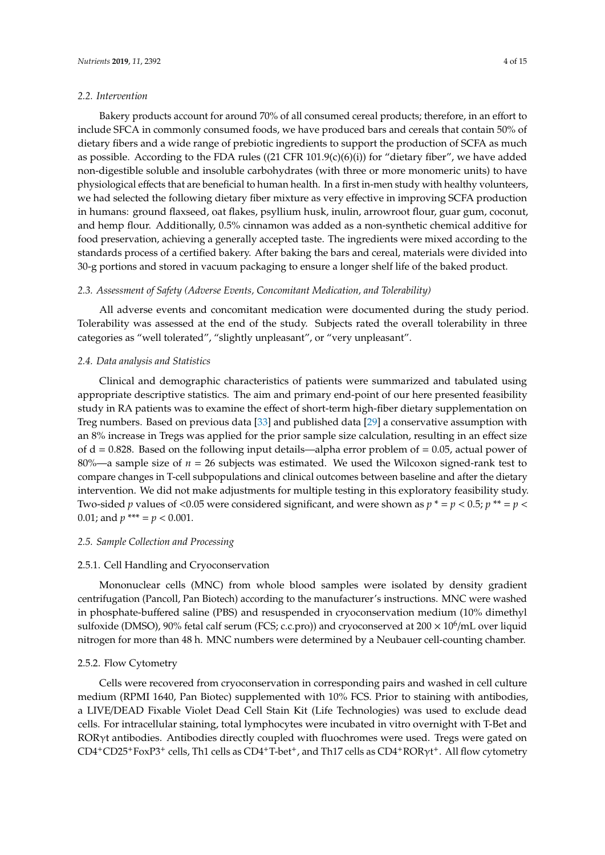## *2.2. Intervention*

Bakery products account for around 70% of all consumed cereal products; therefore, in an effort to include SFCA in commonly consumed foods, we have produced bars and cereals that contain 50% of dietary fibers and a wide range of prebiotic ingredients to support the production of SCFA as much as possible. According to the FDA rules  $((21 \text{ CFR } 101.9(c)(6)(i))$  for "dietary fiber", we have added non-digestible soluble and insoluble carbohydrates (with three or more monomeric units) to have physiological effects that are beneficial to human health. In a first in-men study with healthy volunteers, we had selected the following dietary fiber mixture as very effective in improving SCFA production in humans: ground flaxseed, oat flakes, psyllium husk, inulin, arrowroot flour, guar gum, coconut, and hemp flour. Additionally, 0.5% cinnamon was added as a non-synthetic chemical additive for food preservation, achieving a generally accepted taste. The ingredients were mixed according to the standards process of a certified bakery. After baking the bars and cereal, materials were divided into 30-g portions and stored in vacuum packaging to ensure a longer shelf life of the baked product.

## *2.3. Assessment of Safety (Adverse Events, Concomitant Medication, and Tolerability)*

All adverse events and concomitant medication were documented during the study period. Tolerability was assessed at the end of the study. Subjects rated the overall tolerability in three categories as "well tolerated", "slightly unpleasant", or "very unpleasant".

# *2.4. Data analysis and Statistics*

Clinical and demographic characteristics of patients were summarized and tabulated using appropriate descriptive statistics. The aim and primary end-point of our here presented feasibility study in RA patients was to examine the effect of short-term high-fiber dietary supplementation on Treg numbers. Based on previous data [\[33\]](#page-11-15) and published data [\[29\]](#page-11-13) a conservative assumption with an 8% increase in Tregs was applied for the prior sample size calculation, resulting in an effect size of  $d = 0.828$ . Based on the following input details—alpha error problem of  $= 0.05$ , actual power of 80%—a sample size of  $n = 26$  subjects was estimated. We used the Wilcoxon signed-rank test to compare changes in T-cell subpopulations and clinical outcomes between baseline and after the dietary intervention. We did not make adjustments for multiple testing in this exploratory feasibility study. Two-sided *p* values of <0.05 were considered significant, and were shown as  $p^* = p < 0.5$ ;  $p^{**} = p <$ 0.01; and  $p^{***} = p < 0.001$ .

## <span id="page-3-0"></span>*2.5. Sample Collection and Processing*

#### 2.5.1. Cell Handling and Cryoconservation

Mononuclear cells (MNC) from whole blood samples were isolated by density gradient centrifugation (Pancoll, Pan Biotech) according to the manufacturer's instructions. MNC were washed in phosphate-buffered saline (PBS) and resuspended in cryoconservation medium (10% dimethyl sulfoxide (DMSO), 90% fetal calf serum (FCS; c.c.pro)) and cryoconserved at 200  $\times$  10<sup>6</sup>/mL over liquid nitrogen for more than 48 h. MNC numbers were determined by a Neubauer cell-counting chamber.

# 2.5.2. Flow Cytometry

Cells were recovered from cryoconservation in corresponding pairs and washed in cell culture medium (RPMI 1640, Pan Biotec) supplemented with 10% FCS. Prior to staining with antibodies, a LIVE/DEAD Fixable Violet Dead Cell Stain Kit (Life Technologies) was used to exclude dead cells. For intracellular staining, total lymphocytes were incubated in vitro overnight with T-Bet and RORγt antibodies. Antibodies directly coupled with fluochromes were used. Tregs were gated on CD4<sup>+</sup>CD25<sup>+</sup>FoxP3<sup>+</sup> cells, Th1 cells as CD4<sup>+</sup>T-bet<sup>+</sup>, and Th17 cells as CD4<sup>+</sup>RORγt<sup>+</sup>. All flow cytometry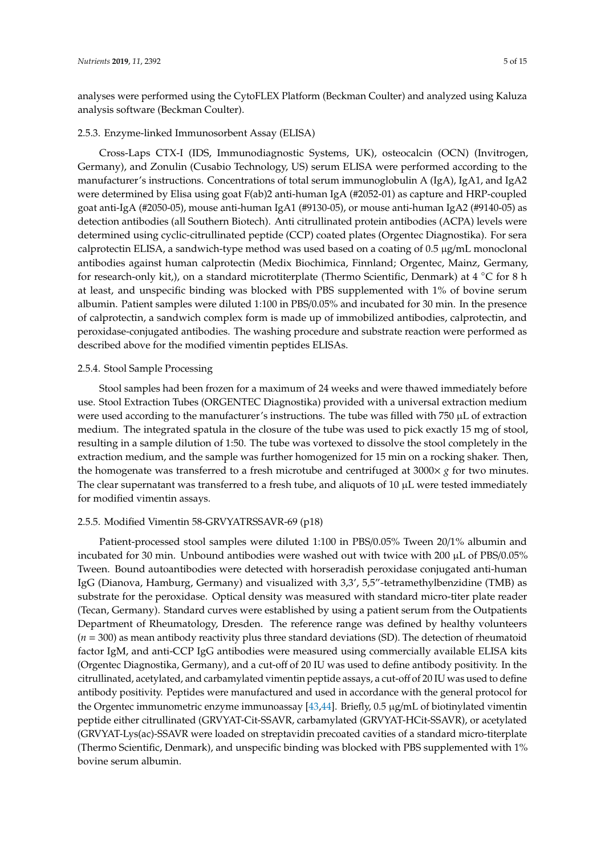analyses were performed using the CytoFLEX Platform (Beckman Coulter) and analyzed using Kaluza analysis software (Beckman Coulter).

# 2.5.3. Enzyme-linked Immunosorbent Assay (ELISA)

Cross-Laps CTX-I (IDS, Immunodiagnostic Systems, UK), osteocalcin (OCN) (Invitrogen, Germany), and Zonulin (Cusabio Technology, US) serum ELISA were performed according to the manufacturer's instructions. Concentrations of total serum immunoglobulin A (IgA), IgA1, and IgA2 were determined by Elisa using goat F(ab)2 anti-human IgA (#2052-01) as capture and HRP-coupled goat anti-IgA (#2050-05), mouse anti-human IgA1 (#9130-05), or mouse anti-human IgA2 (#9140-05) as detection antibodies (all Southern Biotech). Anti citrullinated protein antibodies (ACPA) levels were determined using cyclic-citrullinated peptide (CCP) coated plates (Orgentec Diagnostika). For sera calprotectin ELISA, a sandwich-type method was used based on a coating of 0.5 µg/mL monoclonal antibodies against human calprotectin (Medix Biochimica, Finnland; Orgentec, Mainz, Germany, for research-only kit,), on a standard microtiterplate (Thermo Scientific, Denmark) at 4 ◦C for 8 h at least, and unspecific binding was blocked with PBS supplemented with 1% of bovine serum albumin. Patient samples were diluted 1:100 in PBS/0.05% and incubated for 30 min. In the presence of calprotectin, a sandwich complex form is made up of immobilized antibodies, calprotectin, and peroxidase-conjugated antibodies. The washing procedure and substrate reaction were performed as described above for the modified vimentin peptides ELISAs.

# 2.5.4. Stool Sample Processing

Stool samples had been frozen for a maximum of 24 weeks and were thawed immediately before use. Stool Extraction Tubes (ORGENTEC Diagnostika) provided with a universal extraction medium were used according to the manufacturer's instructions. The tube was filled with 750  $\mu$ L of extraction medium. The integrated spatula in the closure of the tube was used to pick exactly 15 mg of stool, resulting in a sample dilution of 1:50. The tube was vortexed to dissolve the stool completely in the extraction medium, and the sample was further homogenized for 15 min on a rocking shaker. Then, the homogenate was transferred to a fresh microtube and centrifuged at 3000× *g* for two minutes. The clear supernatant was transferred to a fresh tube, and aliquots of  $10 \mu$ L were tested immediately for modified vimentin assays.

# 2.5.5. Modified Vimentin 58-GRVYATRSSAVR-69 (p18)

Patient-processed stool samples were diluted 1:100 in PBS/0.05% Tween 20/1% albumin and incubated for 30 min. Unbound antibodies were washed out with twice with 200 µL of PBS/0.05% Tween. Bound autoantibodies were detected with horseradish peroxidase conjugated anti-human IgG (Dianova, Hamburg, Germany) and visualized with 3,3', 5,5"-tetramethylbenzidine (TMB) as substrate for the peroxidase. Optical density was measured with standard micro-titer plate reader (Tecan, Germany). Standard curves were established by using a patient serum from the Outpatients Department of Rheumatology, Dresden. The reference range was defined by healthy volunteers (*n* = 300) as mean antibody reactivity plus three standard deviations (SD). The detection of rheumatoid factor IgM, and anti-CCP IgG antibodies were measured using commercially available ELISA kits (Orgentec Diagnostika, Germany), and a cut-off of 20 IU was used to define antibody positivity. In the citrullinated, acetylated, and carbamylated vimentin peptide assays, a cut-off of 20 IU was used to define antibody positivity. Peptides were manufactured and used in accordance with the general protocol for the Orgentec immunometric enzyme immunoassay [\[43](#page-12-6)[,44\]](#page-12-7). Briefly, 0.5 µg/mL of biotinylated vimentin peptide either citrullinated (GRVYAT-Cit-SSAVR, carbamylated (GRVYAT-HCit-SSAVR), or acetylated (GRVYAT-Lys(ac)-SSAVR were loaded on streptavidin precoated cavities of a standard micro-titerplate (Thermo Scientific, Denmark), and unspecific binding was blocked with PBS supplemented with 1% bovine serum albumin.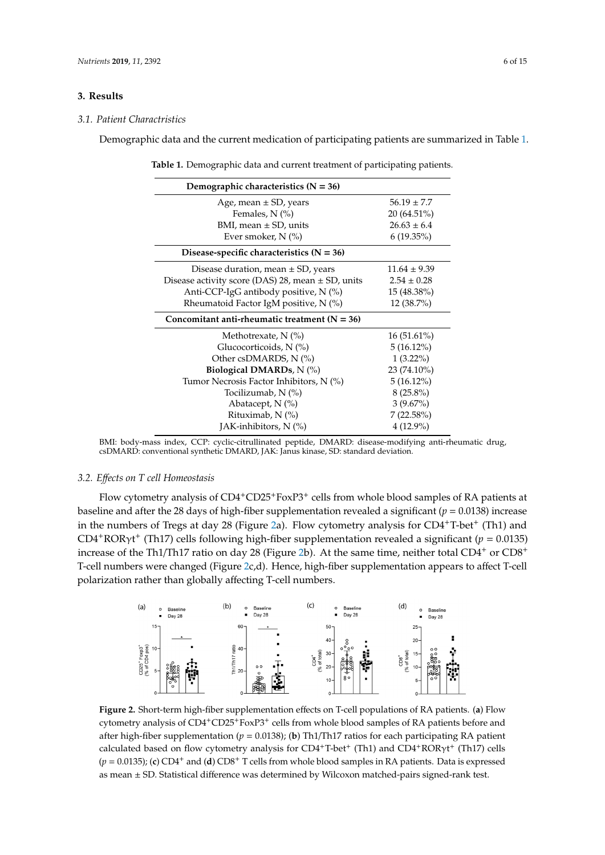# **3. Results**

## *3.1. Patient Charactristics*

<span id="page-5-0"></span>Demographic data and the current medication of participating patients are summarized in Table [1.](#page-5-0)

| Table 1. Demographic data and current treatment of participating patients |
|---------------------------------------------------------------------------|
|---------------------------------------------------------------------------|

| Demographic characteristics $(N = 36)$                |                  |
|-------------------------------------------------------|------------------|
| Age, mean $\pm$ SD, years                             | $56.19 \pm 7.7$  |
| Females, $N$ $(\%)$                                   | $20(64.51\%)$    |
| BMI, mean $\pm$ SD, units                             | $26.63 \pm 6.4$  |
| Ever smoker, $N$ (%)                                  | $6(19.35\%)$     |
| Disease-specific characteristics $(N = 36)$           |                  |
| Disease duration, mean $\pm$ SD, years                | $11.64 \pm 9.39$ |
| Disease activity score (DAS) 28, mean $\pm$ SD, units | $2.54 \pm 0.28$  |
| Anti-CCP-IgG antibody positive, N (%)                 | 15 (48.38%)      |
| Rheumatoid Factor IgM positive, $N$ (%)               | $12(38.7\%)$     |
| Concomitant anti-rheumatic treatment ( $N = 36$ )     |                  |
| Methotrexate, $N$ (%)                                 | $16(51.61\%)$    |
| Glucocorticoids, $N$ $(\%)$                           | $5(16.12\%)$     |
| Other csDMARDS, N (%)                                 | $1(3.22\%)$      |
| Biological DMARDs, $N$ (%)                            | $23(74.10\%)$    |
| Tumor Necrosis Factor Inhibitors, $N$ (%)             | $5(16.12\%)$     |
| Tocilizumab, N (%)                                    | $8(25.8\%)$      |
| Abatacept, $N$ (%)                                    | $3(9.67\%)$      |
| Rituximab, N (%)                                      | $7(22.58\%)$     |
| JAK-inhibitors, $N$ (%)                               | $4(12.9\%)$      |

BMI: body-mass index, CCP: cyclic-citrullinated peptide, DMARD: disease-modifying anti-rheumatic drug, csDMARD: conventional synthetic DMARD, JAK: Janus kinase, SD: standard deviation.

#### 3.2. Effects on T cell Homeostasis **index**, C<sub>p</sub> extending and personal personal personal personal personal personal personal personal personal personal personal personal personal personal personal personal personal person drug, csDMARD: conventional synthetic DMARD, JAK: Janus kinase, SD: standard deviation.

Flow cytometry analysis of  $CD4+CD25+FoxP3+$  cells from whole blood samples of RA patients at baseline and after the 28 days of high-fiber supplementation revealed a significant (*p* = 0.0138) increase in the numbers of Tregs at day 28 (Figure [2a](#page-5-1)). Flow cytometry analysis for CD4+T-bet+ (Th1) and CD4<sup>+</sup>ROR $\gamma$ t<sup>+</sup> (Th17) cells following high-fiber supplementation revealed a significant ( $p = 0.0135$ ) increase of the Th1/Th17 ratio on day 28 (Figure [2b](#page-5-1)). At the same time, neither total CD4<sup>+</sup> or CD8<sup>+</sup> T-cell numbers were changed (Figure [2c](#page-5-1),d). Hence, high-fiber supplementation appears to affect T-cell polarization rather than globally affecting T-cell numbers. baseline and after the 28 days of high-fiber supplementation revealed a significant (*p* = 0.0138) rather than globally ancelling T-cell numbers.

<span id="page-5-1"></span>

Figure 2. Short-term high-fiber supplementation effects on T-cell populations of RA patients. (a) Flow cytometry analysis of CD4+CD25+FoxP3+ cells from whole blood samples of RA patients before and cytometry analysis of CD4+CD25+FoxP3<sup>+</sup> cells from whole blood samples of RA patients before and after high-fiber supplementation (*p* = 0.0138); (**b**) Th1/Th17 ratios for each participating RA patient after high-fiber supplementation (*p* = 0.0138); (**b**) Th1/Th17 ratios for each participating RA patient calculated based on flow cytometry analysis for CD4<sup>+</sup>T-bet<sup>+</sup> (Th1) and CD4<sup>+</sup>RORγt<sup>+</sup> (Th17) cells  $(p = 0.0135)$ ; (**c**) CD4<sup>+</sup> and (**d**) CD8<sup>+</sup> T cells from whole blood samples in RA patients. Data is expressed *3.3. Effects on Signs and Symptoms of Arthritis*  as mean ± SD. Statistical difference was determined by Wilcoxon matched-pairs signed-rank test.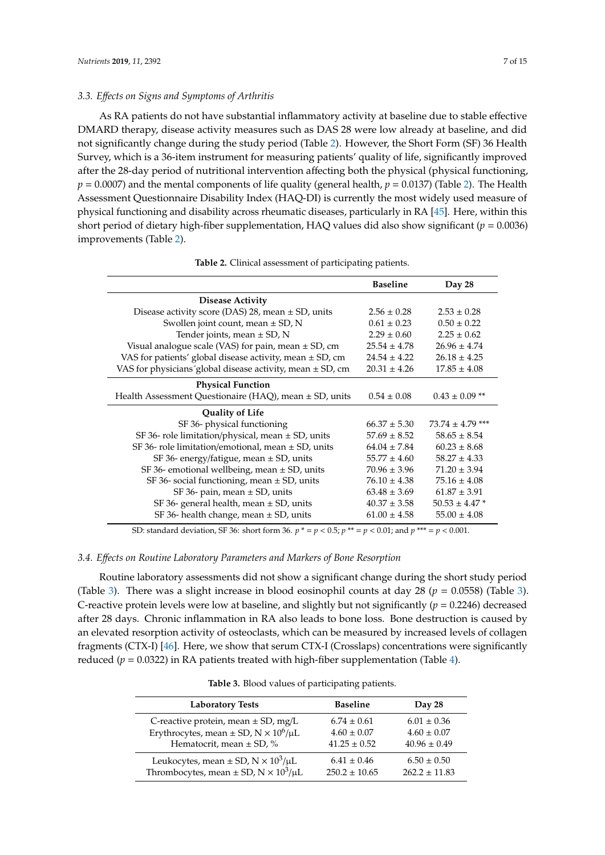# *3.3. E*ff*ects on Signs and Symptoms of Arthritis*

As RA patients do not have substantial inflammatory activity at baseline due to stable effective DMARD therapy, disease activity measures such as DAS 28 were low already at baseline, and did not significantly change during the study period (Table [2\)](#page-6-0). However, the Short Form (SF) 36 Health Survey, which is a 36-item instrument for measuring patients' quality of life, significantly improved after the 28-day period of nutritional intervention affecting both the physical (physical functioning,  $p = 0.0007$ ) and the mental components of life quality (general health,  $p = 0.0137$ ) (Table [2\)](#page-6-0). The Health Assessment Questionnaire Disability Index (HAQ-DI) is currently the most widely used measure of physical functioning and disability across rheumatic diseases, particularly in RA [\[45\]](#page-12-8). Here, within this short period of dietary high-fiber supplementation, HAQ values did also show significant (*p* = 0.0036) improvements (Table [2\)](#page-6-0).

<span id="page-6-0"></span>

|                                                               | <b>Baseline</b>  | Day 28               |
|---------------------------------------------------------------|------------------|----------------------|
| <b>Disease Activity</b>                                       |                  |                      |
| Disease activity score (DAS) 28, mean $\pm$ SD, units         | $2.56 \pm 0.28$  | $2.53 \pm 0.28$      |
| Swollen joint count, mean $\pm$ SD, N                         | $0.61 \pm 0.23$  | $0.50 \pm 0.22$      |
| Tender joints, mean $\pm$ SD, N                               | $2.29 \pm 0.60$  | $2.25 \pm 0.62$      |
| Visual analogue scale (VAS) for pain, mean $\pm$ SD, cm       | $25.54 \pm 4.78$ | $26.96 \pm 4.74$     |
| VAS for patients' global disease activity, mean $\pm$ SD, cm  | $24.54 \pm 4.22$ | $26.18 \pm 4.25$     |
| VAS for physicians global disease activity, mean $\pm$ SD, cm | $20.31 \pm 4.26$ | $17.85 \pm 4.08$     |
| <b>Physical Function</b>                                      |                  |                      |
| Health Assessment Questionaire (HAQ), mean ± SD, units        | $0.54 \pm 0.08$  | $0.43 \pm 0.09$ **   |
| <b>Quality of Life</b>                                        |                  |                      |
| SF 36- physical functioning                                   | $66.37 \pm 5.30$ | $73.74 \pm 4.79$ *** |
| SF 36- role limitation/physical, mean $\pm$ SD, units         | $57.69 \pm 8.52$ | $58.65 \pm 8.54$     |
| SF 36- role limitation/emotional, mean $\pm$ SD, units        | $64.04 \pm 7.84$ | $60.23 \pm 8.68$     |
| SF 36- energy/fatigue, mean $\pm$ SD, units                   | $55.77 \pm 4.60$ | $58.27 \pm 4.33$     |
| SF 36-emotional wellbeing, mean $\pm$ SD, units               | $70.96 \pm 3.96$ | $71.20 \pm 3.94$     |
| SF 36- social functioning, mean ± SD, units                   | $76.10 \pm 4.38$ | $75.16 \pm 4.08$     |
| SF 36- pain, mean $\pm$ SD, units                             | $63.48 \pm 3.69$ | $61.87 \pm 3.91$     |
| SF 36- general health, mean $\pm$ SD, units                   | $40.37 \pm 3.58$ | $50.53 \pm 4.47$ *   |
| SF 36-health change, mean $\pm$ SD, units                     | $61.00 \pm 4.58$ | $55.00 \pm 4.08$     |

**Table 2.** Clinical assessment of participating patients.

SD: standard deviation, SF 36: short form 36. *p* \* = *p* < 0.5; *p* \*\* = *p* < 0.01; and *p* \*\*\* = *p* < 0.001.

#### *3.4. E*ff*ects on Routine Laboratory Parameters and Markers of Bone Resorption*

Routine laboratory assessments did not show a significant change during the short study period (Table [3\)](#page-7-0). There was a slight increase in blood eosinophil counts at day 28 (*p* = 0.0558) (Table [3\)](#page-7-0). C-reactive protein levels were low at baseline, and slightly but not significantly (*p* = 0.2246) decreased after 28 days. Chronic inflammation in RA also leads to bone loss. Bone destruction is caused by an elevated resorption activity of osteoclasts, which can be measured by increased levels of collagen fragments (CTX-I) [\[46\]](#page-12-9). Here, we show that serum CTX-I (Crosslaps) concentrations were significantly reduced ( $p = 0.0322$ ) in RA patients treated with high-fiber supplementation (Table [4\)](#page-7-1).

| Table 3. Blood values of participating patients. |                 |   |
|--------------------------------------------------|-----------------|---|
| <b>Laboratory Tests</b>                          | <b>Baseline</b> | D |

| <b>Laboratory Tests</b>                                           | <b>Baseline</b>   | Day 28            |
|-------------------------------------------------------------------|-------------------|-------------------|
| C-reactive protein, mean $\pm$ SD, mg/L                           | $6.74 \pm 0.61$   | $6.01 \pm 0.36$   |
| Erythrocytes, mean $\pm$ SD, N $\times$ 10 <sup>6</sup> / $\mu$ L | $4.60 \pm 0.07$   | $4.60 \pm 0.07$   |
| Hematocrit, mean $\pm$ SD, %                                      | $41.25 \pm 0.52$  | $40.96 \pm 0.49$  |
| Leukocytes, mean $\pm$ SD, N $\times$ 10 <sup>3</sup> / $\mu$ L   | $6.41 \pm 0.46$   | $6.50 \pm 0.50$   |
| Thrombocytes, mean $\pm$ SD, N $\times$ 10 <sup>3</sup> / $\mu$ L | $250.2 \pm 10.65$ | $262.2 \pm 11.83$ |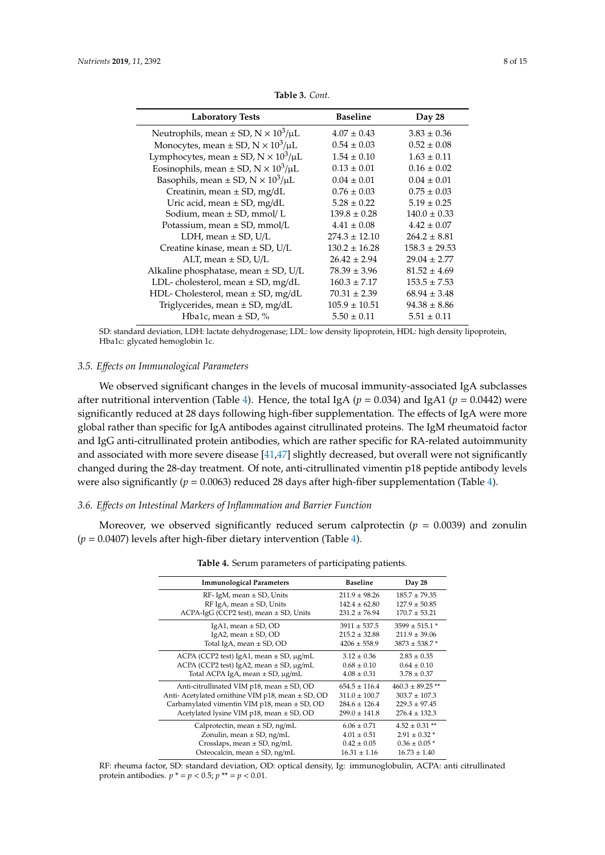<span id="page-7-0"></span>

| <b>Laboratory Tests</b>                                          | <b>Baseline</b>   | Day 28            |
|------------------------------------------------------------------|-------------------|-------------------|
| Neutrophils, mean $\pm$ SD, N $\times$ 10 <sup>3</sup> / $\mu$ L | $4.07 \pm 0.43$   | $3.83 \pm 0.36$   |
| Monocytes, mean $\pm$ SD, N $\times$ 10 <sup>3</sup> / $\mu$ L   | $0.54 \pm 0.03$   | $0.52 \pm 0.08$   |
| Lymphocytes, mean $\pm$ SD, N $\times$ 10 <sup>3</sup> / $\mu$ L | $1.54 \pm 0.10$   | $1.63 \pm 0.11$   |
| Eosinophils, mean $\pm$ SD, N $\times$ 10 <sup>3</sup> / $\mu$ L | $0.13 \pm 0.01$   | $0.16 \pm 0.02$   |
| Basophils, mean $\pm$ SD, N $\times$ 10 <sup>3</sup> / $\mu$ L   | $0.04 \pm 0.01$   | $0.04 \pm 0.01$   |
| Creatinin, mean $\pm$ SD, mg/dL                                  | $0.76 \pm 0.03$   | $0.75 \pm 0.03$   |
| Uric acid, mean $\pm$ SD, mg/dL                                  | $5.28 \pm 0.22$   | $5.19 \pm 0.25$   |
| Sodium, mean $\pm$ SD, mmol/L                                    | $139.8 \pm 0.28$  | $140.0 \pm 0.33$  |
| Potassium, mean $\pm$ SD, mmol/L                                 | $4.41 \pm 0.08$   | $4.42 \pm 0.07$   |
| LDH, mean $\pm$ SD, U/L                                          | $274.3 \pm 12.10$ | $264.2 \pm 8.81$  |
| Creatine kinase, mean ± SD, U/L                                  | $130.2 \pm 16.28$ | $158.3 \pm 29.53$ |
| ALT, mean $\pm$ SD, U/L                                          | $26.42 \pm 2.94$  | $29.04 \pm 2.77$  |
| Alkaline phosphatase, mean $\pm$ SD, U/L                         | $78.39 \pm 3.96$  | $81.52 \pm 4.69$  |
| LDL-cholesterol, mean $\pm$ SD, mg/dL                            | $160.3 \pm 7.17$  | $153.5 \pm 7.53$  |
| HDL-Cholesterol, mean $\pm$ SD, mg/dL                            | $70.31 \pm 2.39$  | $68.94 \pm 3.48$  |
| Triglycerides, mean $\pm$ SD, mg/dL                              | $105.9 \pm 10.51$ | $94.38 \pm 8.86$  |
| Hba1c, mean $\pm$ SD, %                                          | $5.50 \pm 0.11$   | $5.51 \pm 0.11$   |

**Table 3.** *Cont.*

SD: standard deviation, LDH: lactate dehydrogenase; LDL: low density lipoprotein, HDL: high density lipoprotein, Hba1c: glycated hemoglobin 1c.

## *3.5. E*ff*ects on Immunological Parameters*

We observed significant changes in the levels of mucosal immunity-associated IgA subclasses after nutritional intervention (Table [4\)](#page-7-1). Hence, the total IgA ( $p = 0.034$ ) and IgA1 ( $p = 0.0442$ ) were significantly reduced at 28 days following high-fiber supplementation. The effects of IgA were more global rather than specific for IgA antibodes against citrullinated proteins. The IgM rheumatoid factor and IgG anti-citrullinated protein antibodies, which are rather specific for RA-related autoimmunity and associated with more severe disease [\[41,](#page-12-4)[47\]](#page-12-10) slightly decreased, but overall were not significantly changed during the 28-day treatment. Of note, anti-citrullinated vimentin p18 peptide antibody levels were also significantly ( $p = 0.0063$ ) reduced 28 days after high-fiber supplementation (Table [4\)](#page-7-1).

# *3.6. E*ff*ects on Intestinal Markers of Inflammation and Barrier Function*

<span id="page-7-1"></span>Moreover, we observed significantly reduced serum calprotectin ( $p = 0.0039$ ) and zonulin (*p* = 0.0407) levels after high-fiber dietary intervention (Table [4\)](#page-7-1).

| <b>Immunological Parameters</b>                       | <b>Baseline</b>   | Day 28                       |
|-------------------------------------------------------|-------------------|------------------------------|
| $RF$ - IgM, mean $\pm$ SD, Units                      | $211.9 \pm 98.26$ | $185.7 \pm 79.35$            |
| RF IgA, mean $\pm$ SD, Units                          | $142.4 \pm 62.80$ | $127.9 \pm 50.85$            |
| $ACPA-IgG$ (CCP2 test), mean $\pm$ SD, Units          | $231.2 \pm 76.94$ | $170.7 \pm 53.21$            |
| IgA1, mean $\pm$ SD, OD                               | $3911 \pm 537.5$  | $3599 \pm 515.1$ *           |
| IgA2, mean $\pm$ SD, OD                               | $215.2 \pm 32.88$ | $211.9 \pm 39.06$            |
| Total IgA, mean $\pm$ SD, OD                          | $4206 \pm 558.9$  | $3873 \pm 538.7$ *           |
| $ACPA$ (CCP2 test) IgA1, mean $\pm$ SD, $\mu$ g/mL    | $3.12 \pm 0.36$   | $2.83 \pm 0.35$              |
| ACPA (CCP2 test) IgA2, mean $\pm$ SD, $\mu$ g/mL      | $0.68 \pm 0.10$   | $0.64 \pm 0.10$              |
| Total ACPA IgA, mean $\pm$ SD, $\mu$ g/mL             | $4.08 \pm 0.31$   | $3.78 \pm 0.37$              |
| Anti-citrullinated VIM $p18$ , mean $\pm$ SD, OD      | $654.5 \pm 116.4$ | $460.3 \pm 89.25$ **         |
| Anti- Acetylated ornithine VIM p18, mean $\pm$ SD, OD | $311.0 \pm 100.7$ | $303.7 \pm 107.3$            |
| Carbamylated vimentin VIM p18, mean $\pm$ SD, OD      | $284.6 \pm 126.4$ | $229.3 \pm 97.45$            |
| Acetylated lysine VIM $p18$ , mean $\pm$ SD, OD       | $299.0 \pm 141.8$ | $276.4 \pm 132.3$            |
| Calprotectin, mean $\pm$ SD, ng/mL                    | $6.06 \pm 0.71$   | $4.52 \pm 0.31$ **           |
| Zonulin, mean $\pm$ SD, ng/mL                         | $4.01 \pm 0.51$   | $2.91 \pm 0.32$ *            |
| Crosslaps, mean $\pm$ SD, ng/mL                       | $0.42 \pm 0.05$   | $0.36 \pm 0.05$ <sup>*</sup> |
| Osteocalcin, mean $\pm$ SD, ng/mL                     | $16.31 \pm 1.16$  | $16.73 \pm 1.40$             |

RF: rheuma factor, SD: standard deviation, OD: optical density, Ig: immunoglobulin, ACPA: anti citrullinated protein antibodies.  $p^* = p < 0.5; p^{**} = p < 0.01.$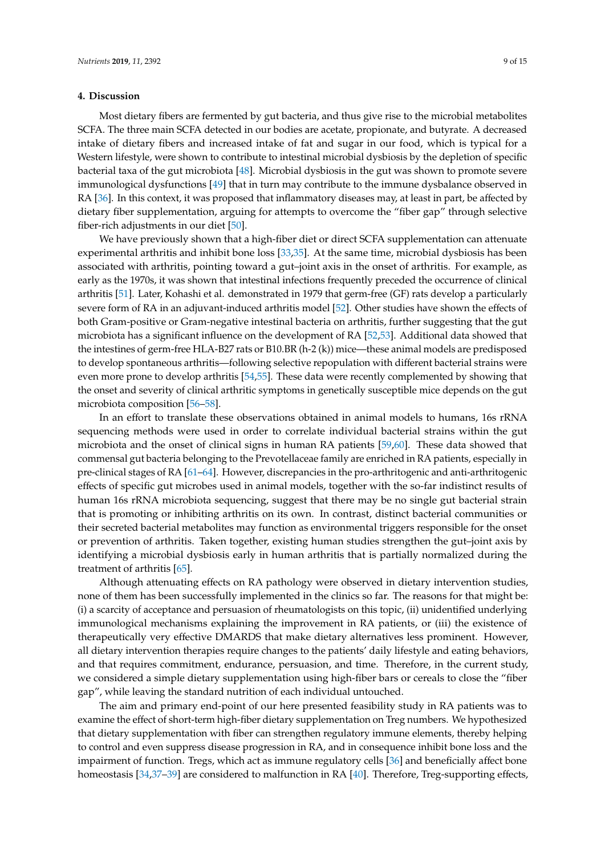## **4. Discussion**

Most dietary fibers are fermented by gut bacteria, and thus give rise to the microbial metabolites SCFA. The three main SCFA detected in our bodies are acetate, propionate, and butyrate. A decreased intake of dietary fibers and increased intake of fat and sugar in our food, which is typical for a Western lifestyle, were shown to contribute to intestinal microbial dysbiosis by the depletion of specific bacterial taxa of the gut microbiota [\[48\]](#page-12-11). Microbial dysbiosis in the gut was shown to promote severe immunological dysfunctions [\[49\]](#page-12-12) that in turn may contribute to the immune dysbalance observed in RA [\[36\]](#page-12-0). In this context, it was proposed that inflammatory diseases may, at least in part, be affected by dietary fiber supplementation, arguing for attempts to overcome the "fiber gap" through selective fiber-rich adjustments in our diet [\[50\]](#page-12-13).

We have previously shown that a high-fiber diet or direct SCFA supplementation can attenuate experimental arthritis and inhibit bone loss [\[33](#page-11-15)[,35\]](#page-11-11). At the same time, microbial dysbiosis has been associated with arthritis, pointing toward a gut–joint axis in the onset of arthritis. For example, as early as the 1970s, it was shown that intestinal infections frequently preceded the occurrence of clinical arthritis [\[51\]](#page-12-14). Later, Kohashi et al. demonstrated in 1979 that germ-free (GF) rats develop a particularly severe form of RA in an adjuvant-induced arthritis model [\[52\]](#page-12-15). Other studies have shown the effects of both Gram-positive or Gram-negative intestinal bacteria on arthritis, further suggesting that the gut microbiota has a significant influence on the development of RA [\[52,](#page-12-15)[53\]](#page-12-16). Additional data showed that the intestines of germ-free HLA-B27 rats or B10.BR (h-2 (k)) mice—these animal models are predisposed to develop spontaneous arthritis—following selective repopulation with different bacterial strains were even more prone to develop arthritis [\[54,](#page-12-17)[55\]](#page-13-0). These data were recently complemented by showing that the onset and severity of clinical arthritic symptoms in genetically susceptible mice depends on the gut microbiota composition [\[56–](#page-13-1)[58\]](#page-13-2).

In an effort to translate these observations obtained in animal models to humans, 16s rRNA sequencing methods were used in order to correlate individual bacterial strains within the gut microbiota and the onset of clinical signs in human RA patients [\[59](#page-13-3)[,60\]](#page-13-4). These data showed that commensal gut bacteria belonging to the Prevotellaceae family are enriched in RA patients, especially in pre-clinical stages of RA [\[61–](#page-13-5)[64\]](#page-13-6). However, discrepancies in the pro-arthritogenic and anti-arthritogenic effects of specific gut microbes used in animal models, together with the so-far indistinct results of human 16s rRNA microbiota sequencing, suggest that there may be no single gut bacterial strain that is promoting or inhibiting arthritis on its own. In contrast, distinct bacterial communities or their secreted bacterial metabolites may function as environmental triggers responsible for the onset or prevention of arthritis. Taken together, existing human studies strengthen the gut–joint axis by identifying a microbial dysbiosis early in human arthritis that is partially normalized during the treatment of arthritis [\[65\]](#page-13-7).

Although attenuating effects on RA pathology were observed in dietary intervention studies, none of them has been successfully implemented in the clinics so far. The reasons for that might be: (i) a scarcity of acceptance and persuasion of rheumatologists on this topic, (ii) unidentified underlying immunological mechanisms explaining the improvement in RA patients, or (iii) the existence of therapeutically very effective DMARDS that make dietary alternatives less prominent. However, all dietary intervention therapies require changes to the patients' daily lifestyle and eating behaviors, and that requires commitment, endurance, persuasion, and time. Therefore, in the current study, we considered a simple dietary supplementation using high-fiber bars or cereals to close the "fiber gap", while leaving the standard nutrition of each individual untouched.

The aim and primary end-point of our here presented feasibility study in RA patients was to examine the effect of short-term high-fiber dietary supplementation on Treg numbers. We hypothesized that dietary supplementation with fiber can strengthen regulatory immune elements, thereby helping to control and even suppress disease progression in RA, and in consequence inhibit bone loss and the impairment of function. Tregs, which act as immune regulatory cells [\[36\]](#page-12-0) and beneficially affect bone homeostasis [\[34,](#page-11-12)[37–](#page-12-1)[39\]](#page-12-2) are considered to malfunction in RA [\[40\]](#page-12-3). Therefore, Treg-supporting effects,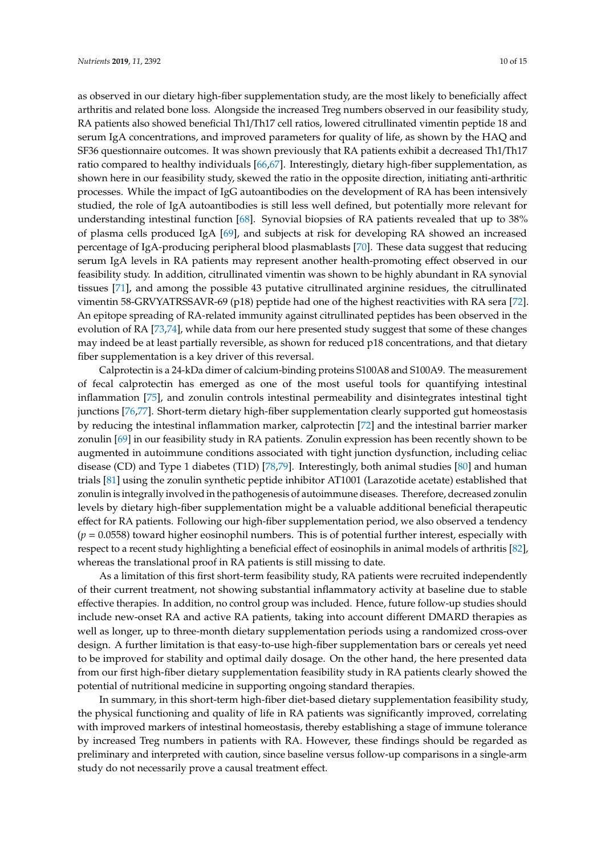as observed in our dietary high-fiber supplementation study, are the most likely to beneficially affect arthritis and related bone loss. Alongside the increased Treg numbers observed in our feasibility study, RA patients also showed beneficial Th1/Th17 cell ratios, lowered citrullinated vimentin peptide 18 and serum IgA concentrations, and improved parameters for quality of life, as shown by the HAQ and SF36 questionnaire outcomes. It was shown previously that RA patients exhibit a decreased Th1/Th17 ratio compared to healthy individuals [\[66](#page-13-8)[,67\]](#page-13-9). Interestingly, dietary high-fiber supplementation, as shown here in our feasibility study, skewed the ratio in the opposite direction, initiating anti-arthritic processes. While the impact of IgG autoantibodies on the development of RA has been intensively studied, the role of IgA autoantibodies is still less well defined, but potentially more relevant for understanding intestinal function [\[68\]](#page-13-10). Synovial biopsies of RA patients revealed that up to 38% of plasma cells produced IgA [\[69\]](#page-13-11), and subjects at risk for developing RA showed an increased percentage of IgA-producing peripheral blood plasmablasts [\[70\]](#page-13-12). These data suggest that reducing serum IgA levels in RA patients may represent another health-promoting effect observed in our feasibility study. In addition, citrullinated vimentin was shown to be highly abundant in RA synovial tissues [\[71\]](#page-13-13), and among the possible 43 putative citrullinated arginine residues, the citrullinated vimentin 58-GRVYATRSSAVR-69 (p18) peptide had one of the highest reactivities with RA sera [\[72\]](#page-13-14). An epitope spreading of RA-related immunity against citrullinated peptides has been observed in the evolution of RA [\[73](#page-13-15)[,74\]](#page-14-0), while data from our here presented study suggest that some of these changes may indeed be at least partially reversible, as shown for reduced p18 concentrations, and that dietary fiber supplementation is a key driver of this reversal.

Calprotectin is a 24-kDa dimer of calcium-binding proteins S100A8 and S100A9. The measurement of fecal calprotectin has emerged as one of the most useful tools for quantifying intestinal inflammation [\[75\]](#page-14-1), and zonulin controls intestinal permeability and disintegrates intestinal tight junctions [\[76,](#page-14-2)[77\]](#page-14-3). Short-term dietary high-fiber supplementation clearly supported gut homeostasis by reducing the intestinal inflammation marker, calprotectin [\[72\]](#page-13-14) and the intestinal barrier marker zonulin [\[69\]](#page-13-11) in our feasibility study in RA patients. Zonulin expression has been recently shown to be augmented in autoimmune conditions associated with tight junction dysfunction, including celiac disease (CD) and Type 1 diabetes (T1D) [\[78](#page-14-4)[,79\]](#page-14-5). Interestingly, both animal studies [\[80\]](#page-14-6) and human trials [\[81\]](#page-14-7) using the zonulin synthetic peptide inhibitor AT1001 (Larazotide acetate) established that zonulin is integrally involved in the pathogenesis of autoimmune diseases. Therefore, decreased zonulin levels by dietary high-fiber supplementation might be a valuable additional beneficial therapeutic effect for RA patients. Following our high-fiber supplementation period, we also observed a tendency (*p* = 0.0558) toward higher eosinophil numbers. This is of potential further interest, especially with respect to a recent study highlighting a beneficial effect of eosinophils in animal models of arthritis [\[82\]](#page-14-8), whereas the translational proof in RA patients is still missing to date.

As a limitation of this first short-term feasibility study, RA patients were recruited independently of their current treatment, not showing substantial inflammatory activity at baseline due to stable effective therapies. In addition, no control group was included. Hence, future follow-up studies should include new-onset RA and active RA patients, taking into account different DMARD therapies as well as longer, up to three-month dietary supplementation periods using a randomized cross-over design. A further limitation is that easy-to-use high-fiber supplementation bars or cereals yet need to be improved for stability and optimal daily dosage. On the other hand, the here presented data from our first high-fiber dietary supplementation feasibility study in RA patients clearly showed the potential of nutritional medicine in supporting ongoing standard therapies.

In summary, in this short-term high-fiber diet-based dietary supplementation feasibility study, the physical functioning and quality of life in RA patients was significantly improved, correlating with improved markers of intestinal homeostasis, thereby establishing a stage of immune tolerance by increased Treg numbers in patients with RA. However, these findings should be regarded as preliminary and interpreted with caution, since baseline versus follow-up comparisons in a single-arm study do not necessarily prove a causal treatment effect.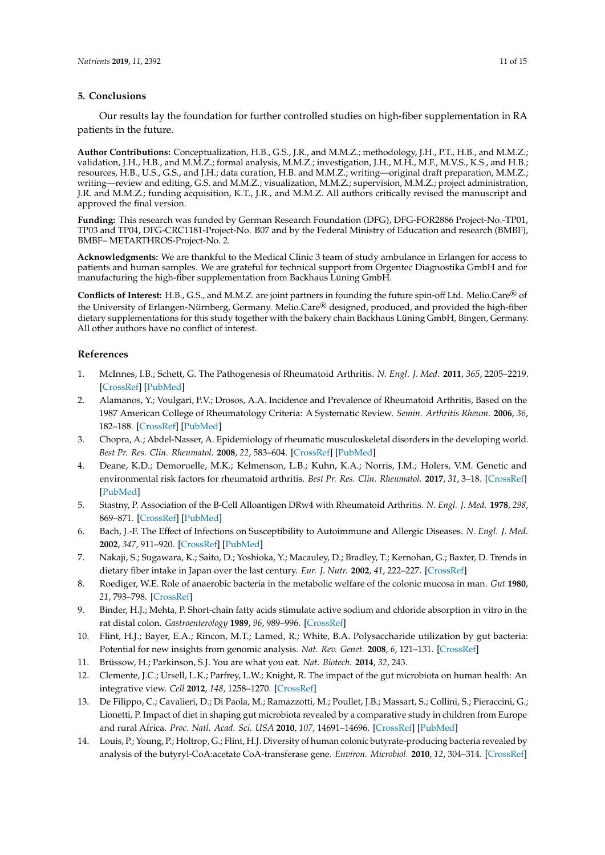## **5. Conclusions**

Our results lay the foundation for further controlled studies on high-fiber supplementation in RA patients in the future.

**Author Contributions:** Conceptualization, H.B., G.S., J.R., and M.M.Z.; methodology, J.H., P.T., H.B., and M.M.Z.; validation, J.H., H.B., and M.M.Z.; formal analysis, M.M.Z.; investigation, J.H., M.H., M.F., M.V.S., K.S., and H.B.; resources, H.B., U.S., G.S., and J.H.; data curation, H.B. and M.M.Z.; writing—original draft preparation, M.M.Z.; writing—review and editing, G.S. and M.M.Z.; visualization, M.M.Z.; supervision, M.M.Z.; project administration, J.R. and M.M.Z.; funding acquisition, K.T., J.R., and M.M.Z. All authors critically revised the manuscript and approved the final version.

**Funding:** This research was funded by German Research Foundation (DFG), DFG-FOR2886 Project-No.-TP01, TP03 and TP04, DFG-CRC1181-Project-No. B07 and by the Federal Ministry of Education and research (BMBF), BMBF– METARTHROS-Project-No. 2.

**Acknowledgments:** We are thankful to the Medical Clinic 3 team of study ambulance in Erlangen for access to patients and human samples. We are grateful for technical support from Orgentec Diagnostika GmbH and for manufacturing the high-fiber supplementation from Backhaus Lüning GmbH.

**Conflicts of Interest:** H.B., G.S., and M.M.Z. are joint partners in founding the future spin-off Ltd. Melio.Care® of the University of Erlangen-Nürnberg, Germany. Melio.Care® designed, produced, and provided the high-fiber dietary supplementations for this study together with the bakery chain Backhaus Lüning GmbH, Bingen, Germany. All other authors have no conflict of interest.

# **References**

- <span id="page-10-0"></span>1. McInnes, I.B.; Schett, G. The Pathogenesis of Rheumatoid Arthritis. *N. Engl. J. Med.* **2011**, *365*, 2205–2219. [\[CrossRef\]](http://dx.doi.org/10.1056/NEJMra1004965) [\[PubMed\]](http://www.ncbi.nlm.nih.gov/pubmed/22150039)
- <span id="page-10-1"></span>2. Alamanos, Y.; Voulgari, P.V.; Drosos, A.A. Incidence and Prevalence of Rheumatoid Arthritis, Based on the 1987 American College of Rheumatology Criteria: A Systematic Review. *Semin. Arthritis Rheum.* **2006**, *36*, 182–188. [\[CrossRef\]](http://dx.doi.org/10.1016/j.semarthrit.2006.08.006) [\[PubMed\]](http://www.ncbi.nlm.nih.gov/pubmed/17045630)
- <span id="page-10-2"></span>3. Chopra, A.; Abdel-Nasser, A. Epidemiology of rheumatic musculoskeletal disorders in the developing world. *Best Pr. Res. Clin. Rheumatol.* **2008**, *22*, 583–604. [\[CrossRef\]](http://dx.doi.org/10.1016/j.berh.2008.07.001) [\[PubMed\]](http://www.ncbi.nlm.nih.gov/pubmed/18783739)
- <span id="page-10-3"></span>4. Deane, K.D.; Demoruelle, M.K.; Kelmenson, L.B.; Kuhn, K.A.; Norris, J.M.; Holers, V.M. Genetic and environmental risk factors for rheumatoid arthritis. *Best Pr. Res. Clin. Rheumatol.* **2017**, *31*, 3–18. [\[CrossRef\]](http://dx.doi.org/10.1016/j.berh.2017.08.003) [\[PubMed\]](http://www.ncbi.nlm.nih.gov/pubmed/29221595)
- <span id="page-10-4"></span>5. Stastny, P. Association of the B-Cell Alloantigen DRw4 with Rheumatoid Arthritis. *N. Engl. J. Med.* **1978**, *298*, 869–871. [\[CrossRef\]](http://dx.doi.org/10.1056/NEJM197804202981602) [\[PubMed\]](http://www.ncbi.nlm.nih.gov/pubmed/147420)
- <span id="page-10-5"></span>6. Bach, J.-F. The Effect of Infections on Susceptibility to Autoimmune and Allergic Diseases. *N. Engl. J. Med.* **2002**, *347*, 911–920. [\[CrossRef\]](http://dx.doi.org/10.1056/NEJMra020100) [\[PubMed\]](http://www.ncbi.nlm.nih.gov/pubmed/12239261)
- <span id="page-10-6"></span>7. Nakaji, S.; Sugawara, K.; Saito, D.; Yoshioka, Y.; Macauley, D.; Bradley, T.; Kernohan, G.; Baxter, D. Trends in dietary fiber intake in Japan over the last century. *Eur. J. Nutr.* **2002**, *41*, 222–227. [\[CrossRef\]](http://dx.doi.org/10.1007/s00394-002-0379-x)
- <span id="page-10-7"></span>8. Roediger, W.E. Role of anaerobic bacteria in the metabolic welfare of the colonic mucosa in man. *Gut* **1980**, *21*, 793–798. [\[CrossRef\]](http://dx.doi.org/10.1136/gut.21.9.793)
- <span id="page-10-8"></span>9. Binder, H.J.; Mehta, P. Short-chain fatty acids stimulate active sodium and chloride absorption in vitro in the rat distal colon. *Gastroenterology* **1989**, *96*, 989–996. [\[CrossRef\]](http://dx.doi.org/10.1016/0016-5085(89)91614-4)
- <span id="page-10-9"></span>10. Flint, H.J.; Bayer, E.A.; Rincon, M.T.; Lamed, R.; White, B.A. Polysaccharide utilization by gut bacteria: Potential for new insights from genomic analysis. *Nat. Rev. Genet.* **2008**, *6*, 121–131. [\[CrossRef\]](http://dx.doi.org/10.1038/nrmicro1817)
- <span id="page-10-10"></span>11. Brüssow, H.; Parkinson, S.J. You are what you eat. *Nat. Biotech.* **2014**, *32*, 243.
- 12. Clemente, J.C.; Ursell, L.K.; Parfrey, L.W.; Knight, R. The impact of the gut microbiota on human health: An integrative view. *Cell* **2012**, *148*, 1258–1270. [\[CrossRef\]](http://dx.doi.org/10.1016/j.cell.2012.01.035)
- <span id="page-10-12"></span>13. De Filippo, C.; Cavalieri, D.; Di Paola, M.; Ramazzotti, M.; Poullet, J.B.; Massart, S.; Collini, S.; Pieraccini, G.; Lionetti, P. Impact of diet in shaping gut microbiota revealed by a comparative study in children from Europe and rural Africa. *Proc. Natl. Acad. Sci. USA* **2010**, *107*, 14691–14696. [\[CrossRef\]](http://dx.doi.org/10.1073/pnas.1005963107) [\[PubMed\]](http://www.ncbi.nlm.nih.gov/pubmed/20679230)
- <span id="page-10-11"></span>14. Louis, P.; Young, P.; Holtrop, G.; Flint, H.J. Diversity of human colonic butyrate-producing bacteria revealed by analysis of the butyryl-CoA:acetate CoA-transferase gene. *Environ. Microbiol.* **2010**, *12*, 304–314. [\[CrossRef\]](http://dx.doi.org/10.1111/j.1462-2920.2009.02066.x)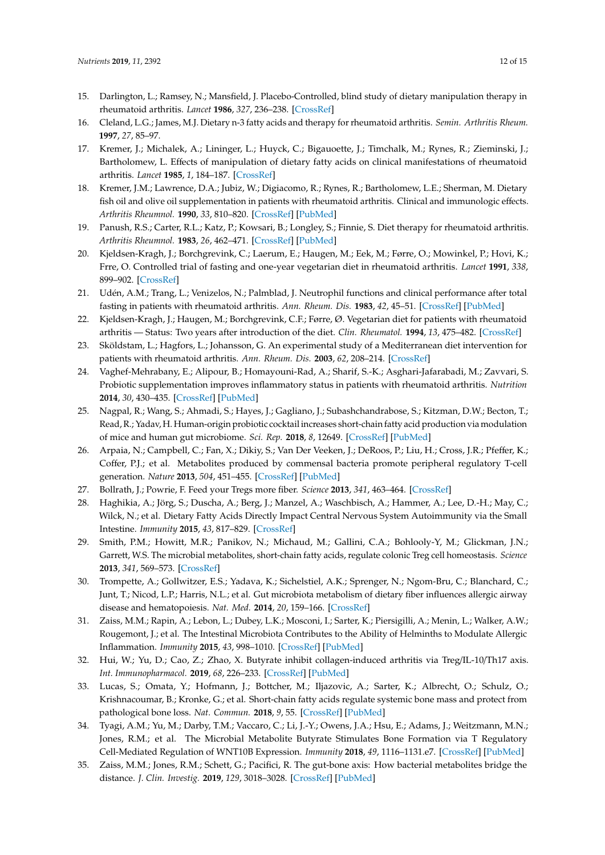- <span id="page-11-0"></span>15. Darlington, L.; Ramsey, N.; Mansfield, J. Placebo-Controlled, blind study of dietary manipulation therapy in rheumatoid arthritis. *Lancet* **1986**, *327*, 236–238. [\[CrossRef\]](http://dx.doi.org/10.1016/S0140-6736(86)90774-9)
- <span id="page-11-14"></span>16. Cleland, L.G.; James, M.J. Dietary n-3 fatty acids and therapy for rheumatoid arthritis. *Semin. Arthritis Rheum.* **1997**, *27*, 85–97.
- 17. Kremer, J.; Michalek, A.; Lininger, L.; Huyck, C.; Bigauoette, J.; Timchalk, M.; Rynes, R.; Zieminski, J.; Bartholomew, L. Effects of manipulation of dietary fatty acids on clinical manifestations of rheumatoid arthritis. *Lancet* **1985**, *1*, 184–187. [\[CrossRef\]](http://dx.doi.org/10.1016/S0140-6736(85)92024-0)
- 18. Kremer, J.M.; Lawrence, D.A.; Jubiz, W.; Digiacomo, R.; Rynes, R.; Bartholomew, L.E.; Sherman, M. Dietary fish oil and olive oil supplementation in patients with rheumatoid arthritis. Clinical and immunologic effects. *Arthritis Rheumnol.* **1990**, *33*, 810–820. [\[CrossRef\]](http://dx.doi.org/10.1002/art.1780330607) [\[PubMed\]](http://www.ncbi.nlm.nih.gov/pubmed/2363736)
- <span id="page-11-1"></span>19. Panush, R.S.; Carter, R.L.; Katz, P.; Kowsari, B.; Longley, S.; Finnie, S. Diet therapy for rheumatoid arthritis. *Arthritis Rheumnol.* **1983**, *26*, 462–471. [\[CrossRef\]](http://dx.doi.org/10.1002/art.1780260403) [\[PubMed\]](http://www.ncbi.nlm.nih.gov/pubmed/6838671)
- <span id="page-11-2"></span>20. Kjeldsen-Kragh, J.; Borchgrevink, C.; Laerum, E.; Haugen, M.; Eek, M.; Førre, O.; Mowinkel, P.; Hovi, K.; Frre, O. Controlled trial of fasting and one-year vegetarian diet in rheumatoid arthritis. *Lancet* **1991**, *338*, 899–902. [\[CrossRef\]](http://dx.doi.org/10.1016/0140-6736(91)91770-U)
- <span id="page-11-3"></span>21. Udén, A.M.; Trang, L.; Venizelos, N.; Palmblad, J. Neutrophil functions and clinical performance after total fasting in patients with rheumatoid arthritis. *Ann. Rheum. Dis.* **1983**, *42*, 45–51. [\[CrossRef\]](http://dx.doi.org/10.1136/ard.42.1.45) [\[PubMed\]](http://www.ncbi.nlm.nih.gov/pubmed/6338840)
- <span id="page-11-4"></span>22. Kjeldsen-Kragh, J.; Haugen, M.; Borchgrevink, C.F.; Førre, Ø. Vegetarian diet for patients with rheumatoid arthritis — Status: Two years after introduction of the diet. *Clin. Rheumatol.* **1994**, *13*, 475–482. [\[CrossRef\]](http://dx.doi.org/10.1007/BF02242946)
- <span id="page-11-5"></span>23. Sköldstam, L.; Hagfors, L.; Johansson, G. An experimental study of a Mediterranean diet intervention for patients with rheumatoid arthritis. *Ann. Rheum. Dis.* **2003**, *62*, 208–214. [\[CrossRef\]](http://dx.doi.org/10.1136/ard.62.3.208)
- <span id="page-11-6"></span>24. Vaghef-Mehrabany, E.; Alipour, B.; Homayouni-Rad, A.; Sharif, S.-K.; Asghari-Jafarabadi, M.; Zavvari, S. Probiotic supplementation improves inflammatory status in patients with rheumatoid arthritis. *Nutrition* **2014**, *30*, 430–435. [\[CrossRef\]](http://dx.doi.org/10.1016/j.nut.2013.09.007) [\[PubMed\]](http://www.ncbi.nlm.nih.gov/pubmed/24355439)
- <span id="page-11-7"></span>25. Nagpal, R.; Wang, S.; Ahmadi, S.; Hayes, J.; Gagliano, J.; Subashchandrabose, S.; Kitzman, D.W.; Becton, T.; Read, R.; Yadav, H. Human-origin probiotic cocktail increases short-chain fatty acid production via modulation of mice and human gut microbiome. *Sci. Rep.* **2018**, *8*, 12649. [\[CrossRef\]](http://dx.doi.org/10.1038/s41598-018-30114-4) [\[PubMed\]](http://www.ncbi.nlm.nih.gov/pubmed/30139941)
- <span id="page-11-8"></span>26. Arpaia, N.; Campbell, C.; Fan, X.; Dikiy, S.; Van Der Veeken, J.; DeRoos, P.; Liu, H.; Cross, J.R.; Pfeffer, K.; Coffer, P.J.; et al. Metabolites produced by commensal bacteria promote peripheral regulatory T-cell generation. *Nature* **2013**, *504*, 451–455. [\[CrossRef\]](http://dx.doi.org/10.1038/nature12726) [\[PubMed\]](http://www.ncbi.nlm.nih.gov/pubmed/24226773)
- 27. Bollrath, J.; Powrie, F. Feed your Tregs more fiber. *Science* **2013**, *341*, 463–464. [\[CrossRef\]](http://dx.doi.org/10.1126/science.1242674)
- 28. Haghikia, A.; Jörg, S.; Duscha, A.; Berg, J.; Manzel, A.; Waschbisch, A.; Hammer, A.; Lee, D.-H.; May, C.; Wilck, N.; et al. Dietary Fatty Acids Directly Impact Central Nervous System Autoimmunity via the Small Intestine. *Immunity* **2015**, *43*, 817–829. [\[CrossRef\]](http://dx.doi.org/10.1016/j.immuni.2015.09.007)
- <span id="page-11-13"></span>29. Smith, P.M.; Howitt, M.R.; Panikov, N.; Michaud, M.; Gallini, C.A.; Bohlooly-Y, M.; Glickman, J.N.; Garrett, W.S. The microbial metabolites, short-chain fatty acids, regulate colonic Treg cell homeostasis. *Science* **2013**, *341*, 569–573. [\[CrossRef\]](http://dx.doi.org/10.1126/science.1241165)
- 30. Trompette, A.; Gollwitzer, E.S.; Yadava, K.; Sichelstiel, A.K.; Sprenger, N.; Ngom-Bru, C.; Blanchard, C.; Junt, T.; Nicod, L.P.; Harris, N.L.; et al. Gut microbiota metabolism of dietary fiber influences allergic airway disease and hematopoiesis. *Nat. Med.* **2014**, *20*, 159–166. [\[CrossRef\]](http://dx.doi.org/10.1038/nm.3444)
- <span id="page-11-9"></span>31. Zaiss, M.M.; Rapin, A.; Lebon, L.; Dubey, L.K.; Mosconi, I.; Sarter, K.; Piersigilli, A.; Menin, L.; Walker, A.W.; Rougemont, J.; et al. The Intestinal Microbiota Contributes to the Ability of Helminths to Modulate Allergic Inflammation. *Immunity* **2015**, *43*, 998–1010. [\[CrossRef\]](http://dx.doi.org/10.1016/j.immuni.2015.09.012) [\[PubMed\]](http://www.ncbi.nlm.nih.gov/pubmed/26522986)
- <span id="page-11-10"></span>32. Hui, W.; Yu, D.; Cao, Z.; Zhao, X. Butyrate inhibit collagen-induced arthritis via Treg/IL-10/Th17 axis. *Int. Immunopharmacol.* **2019**, *68*, 226–233. [\[CrossRef\]](http://dx.doi.org/10.1016/j.intimp.2019.01.018) [\[PubMed\]](http://www.ncbi.nlm.nih.gov/pubmed/30660077)
- <span id="page-11-15"></span>33. Lucas, S.; Omata, Y.; Hofmann, J.; Bottcher, M.; Iljazovic, A.; Sarter, K.; Albrecht, O.; Schulz, O.; Krishnacoumar, B.; Kronke, G.; et al. Short-chain fatty acids regulate systemic bone mass and protect from pathological bone loss. *Nat. Commun.* **2018**, *9*, 55. [\[CrossRef\]](http://dx.doi.org/10.1038/s41467-017-02490-4) [\[PubMed\]](http://www.ncbi.nlm.nih.gov/pubmed/29302038)
- <span id="page-11-12"></span>34. Tyagi, A.M.; Yu, M.; Darby, T.M.; Vaccaro, C.; Li, J.-Y.; Owens, J.A.; Hsu, E.; Adams, J.; Weitzmann, M.N.; Jones, R.M.; et al. The Microbial Metabolite Butyrate Stimulates Bone Formation via T Regulatory Cell-Mediated Regulation of WNT10B Expression. *Immunity* **2018**, *49*, 1116–1131.e7. [\[CrossRef\]](http://dx.doi.org/10.1016/j.immuni.2018.10.013) [\[PubMed\]](http://www.ncbi.nlm.nih.gov/pubmed/30446387)
- <span id="page-11-11"></span>35. Zaiss, M.M.; Jones, R.M.; Schett, G.; Pacifici, R. The gut-bone axis: How bacterial metabolites bridge the distance. *J. Clin. Investig.* **2019**, *129*, 3018–3028. [\[CrossRef\]](http://dx.doi.org/10.1172/JCI128521) [\[PubMed\]](http://www.ncbi.nlm.nih.gov/pubmed/31305265)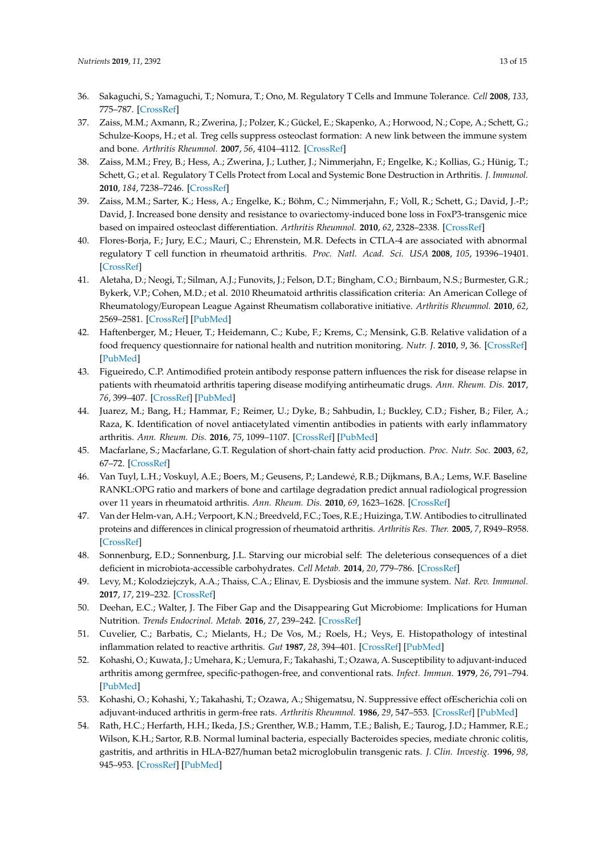- <span id="page-12-0"></span>36. Sakaguchi, S.; Yamaguchi, T.; Nomura, T.; Ono, M. Regulatory T Cells and Immune Tolerance. *Cell* **2008**, *133*, 775–787. [\[CrossRef\]](http://dx.doi.org/10.1016/j.cell.2008.05.009)
- <span id="page-12-1"></span>37. Zaiss, M.M.; Axmann, R.; Zwerina, J.; Polzer, K.; Gückel, E.; Skapenko, A.; Horwood, N.; Cope, A.; Schett, G.; Schulze-Koops, H.; et al. Treg cells suppress osteoclast formation: A new link between the immune system and bone. *Arthritis Rheumnol.* **2007**, *56*, 4104–4112. [\[CrossRef\]](http://dx.doi.org/10.1002/art.23138)
- 38. Zaiss, M.M.; Frey, B.; Hess, A.; Zwerina, J.; Luther, J.; Nimmerjahn, F.; Engelke, K.; Kollias, G.; Hünig, T.; Schett, G.; et al. Regulatory T Cells Protect from Local and Systemic Bone Destruction in Arthritis. *J. Immunol.* **2010**, *184*, 7238–7246. [\[CrossRef\]](http://dx.doi.org/10.4049/jimmunol.0903841)
- <span id="page-12-2"></span>39. Zaiss, M.M.; Sarter, K.; Hess, A.; Engelke, K.; Böhm, C.; Nimmerjahn, F.; Voll, R.; Schett, G.; David, J.-P.; David, J. Increased bone density and resistance to ovariectomy-induced bone loss in FoxP3-transgenic mice based on impaired osteoclast differentiation. *Arthritis Rheumnol.* **2010**, *62*, 2328–2338. [\[CrossRef\]](http://dx.doi.org/10.1002/art.27535)
- <span id="page-12-3"></span>40. Flores-Borja, F.; Jury, E.C.; Mauri, C.; Ehrenstein, M.R. Defects in CTLA-4 are associated with abnormal regulatory T cell function in rheumatoid arthritis. *Proc. Natl. Acad. Sci. USA* **2008**, *105*, 19396–19401. [\[CrossRef\]](http://dx.doi.org/10.1073/pnas.0806855105)
- <span id="page-12-4"></span>41. Aletaha, D.; Neogi, T.; Silman, A.J.; Funovits, J.; Felson, D.T.; Bingham, C.O.; Birnbaum, N.S.; Burmester, G.R.; Bykerk, V.P.; Cohen, M.D.; et al. 2010 Rheumatoid arthritis classification criteria: An American College of Rheumatology/European League Against Rheumatism collaborative initiative. *Arthritis Rheumnol.* **2010**, *62*, 2569–2581. [\[CrossRef\]](http://dx.doi.org/10.1002/art.27584) [\[PubMed\]](http://www.ncbi.nlm.nih.gov/pubmed/20872595)
- <span id="page-12-5"></span>42. Haftenberger, M.; Heuer, T.; Heidemann, C.; Kube, F.; Krems, C.; Mensink, G.B. Relative validation of a food frequency questionnaire for national health and nutrition monitoring. *Nutr. J.* **2010**, *9*, 36. [\[CrossRef\]](http://dx.doi.org/10.1186/1475-2891-9-36) [\[PubMed\]](http://www.ncbi.nlm.nih.gov/pubmed/20840739)
- <span id="page-12-6"></span>43. Figueiredo, C.P. Antimodified protein antibody response pattern influences the risk for disease relapse in patients with rheumatoid arthritis tapering disease modifying antirheumatic drugs. *Ann. Rheum. Dis.* **2017**, *76*, 399–407. [\[CrossRef\]](http://dx.doi.org/10.1136/annrheumdis-2016-209297) [\[PubMed\]](http://www.ncbi.nlm.nih.gov/pubmed/27323772)
- <span id="page-12-7"></span>44. Juarez, M.; Bang, H.; Hammar, F.; Reimer, U.; Dyke, B.; Sahbudin, I.; Buckley, C.D.; Fisher, B.; Filer, A.; Raza, K. Identification of novel antiacetylated vimentin antibodies in patients with early inflammatory arthritis. *Ann. Rheum. Dis.* **2016**, *75*, 1099–1107. [\[CrossRef\]](http://dx.doi.org/10.1136/annrheumdis-2014-206785) [\[PubMed\]](http://www.ncbi.nlm.nih.gov/pubmed/26160441)
- <span id="page-12-8"></span>45. Macfarlane, S.; Macfarlane, G.T. Regulation of short-chain fatty acid production. *Proc. Nutr. Soc.* **2003**, *62*, 67–72. [\[CrossRef\]](http://dx.doi.org/10.1079/PNS2002207)
- <span id="page-12-9"></span>46. Van Tuyl, L.H.; Voskuyl, A.E.; Boers, M.; Geusens, P.; Landewé, R.B.; Dijkmans, B.A.; Lems, W.F. Baseline RANKL:OPG ratio and markers of bone and cartilage degradation predict annual radiological progression over 11 years in rheumatoid arthritis. *Ann. Rheum. Dis.* **2010**, *69*, 1623–1628. [\[CrossRef\]](http://dx.doi.org/10.1136/ard.2009.121764)
- <span id="page-12-10"></span>47. Van der Helm-van, A.H.; Verpoort, K.N.; Breedveld, F.C.; Toes, R.E.; Huizinga, T.W. Antibodies to citrullinated proteins and differences in clinical progression of rheumatoid arthritis. *Arthritis Res. Ther.* **2005**, *7*, R949–R958. [\[CrossRef\]](http://dx.doi.org/10.1186/ar1767)
- <span id="page-12-11"></span>48. Sonnenburg, E.D.; Sonnenburg, J.L. Starving our microbial self: The deleterious consequences of a diet deficient in microbiota-accessible carbohydrates. *Cell Metab.* **2014**, *20*, 779–786. [\[CrossRef\]](http://dx.doi.org/10.1016/j.cmet.2014.07.003)
- <span id="page-12-12"></span>49. Levy, M.; Kolodziejczyk, A.A.; Thaiss, C.A.; Elinav, E. Dysbiosis and the immune system. *Nat. Rev. Immunol.* **2017**, *17*, 219–232. [\[CrossRef\]](http://dx.doi.org/10.1038/nri.2017.7)
- <span id="page-12-13"></span>50. Deehan, E.C.; Walter, J. The Fiber Gap and the Disappearing Gut Microbiome: Implications for Human Nutrition. *Trends Endocrinol. Metab.* **2016**, *27*, 239–242. [\[CrossRef\]](http://dx.doi.org/10.1016/j.tem.2016.03.001)
- <span id="page-12-14"></span>51. Cuvelier, C.; Barbatis, C.; Mielants, H.; De Vos, M.; Roels, H.; Veys, E. Histopathology of intestinal inflammation related to reactive arthritis. *Gut* **1987**, *28*, 394–401. [\[CrossRef\]](http://dx.doi.org/10.1136/gut.28.4.394) [\[PubMed\]](http://www.ncbi.nlm.nih.gov/pubmed/3495471)
- <span id="page-12-15"></span>52. Kohashi, O.; Kuwata, J.; Umehara, K.; Uemura, F.; Takahashi, T.; Ozawa, A. Susceptibility to adjuvant-induced arthritis among germfree, specific-pathogen-free, and conventional rats. *Infect. Immun.* **1979**, *26*, 791–794. [\[PubMed\]](http://www.ncbi.nlm.nih.gov/pubmed/160888)
- <span id="page-12-16"></span>53. Kohashi, O.; Kohashi, Y.; Takahashi, T.; Ozawa, A.; Shigematsu, N. Suppressive effect ofEscherichia coli on adjuvant-induced arthritis in germ-free rats. *Arthritis Rheumnol.* **1986**, *29*, 547–553. [\[CrossRef\]](http://dx.doi.org/10.1002/art.1780290413) [\[PubMed\]](http://www.ncbi.nlm.nih.gov/pubmed/3518723)
- <span id="page-12-17"></span>54. Rath, H.C.; Herfarth, H.H.; Ikeda, J.S.; Grenther, W.B.; Hamm, T.E.; Balish, E.; Taurog, J.D.; Hammer, R.E.; Wilson, K.H.; Sartor, R.B. Normal luminal bacteria, especially Bacteroides species, mediate chronic colitis, gastritis, and arthritis in HLA-B27/human beta2 microglobulin transgenic rats. *J. Clin. Investig.* **1996**, *98*, 945–953. [\[CrossRef\]](http://dx.doi.org/10.1172/JCI118878) [\[PubMed\]](http://www.ncbi.nlm.nih.gov/pubmed/8770866)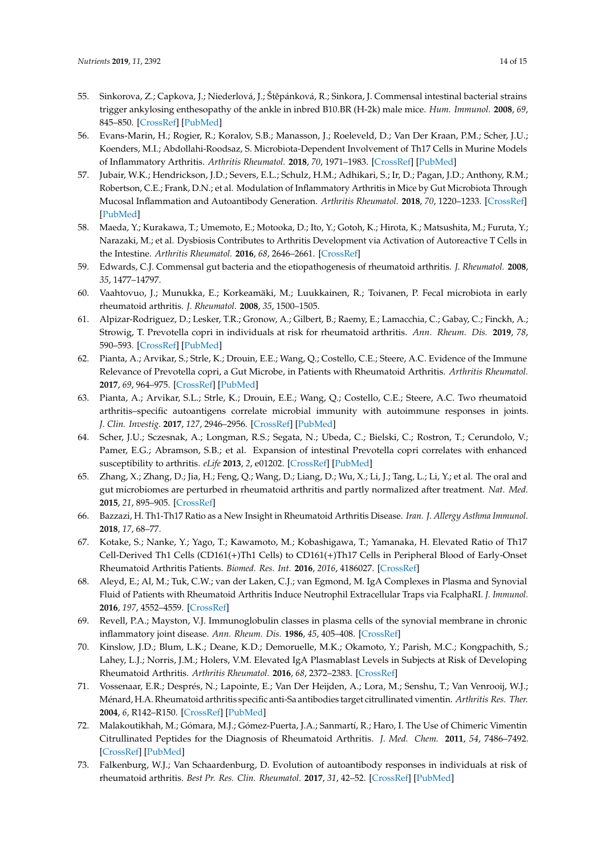- <span id="page-13-0"></span>55. Sinkorova, Z.; Capkova, J.; Niederlová, J.; Štěpánková, R.; Sinkora, J. Commensal intestinal bacterial strains trigger ankylosing enthesopathy of the ankle in inbred B10.BR (H-2k) male mice. *Hum. Immunol.* **2008**, *69*, 845–850. [\[CrossRef\]](http://dx.doi.org/10.1016/j.humimm.2008.08.296) [\[PubMed\]](http://www.ncbi.nlm.nih.gov/pubmed/18840492)
- <span id="page-13-1"></span>56. Evans-Marin, H.; Rogier, R.; Koralov, S.B.; Manasson, J.; Roeleveld, D.; Van Der Kraan, P.M.; Scher, J.U.; Koenders, M.I.; Abdollahi-Roodsaz, S. Microbiota-Dependent Involvement of Th17 Cells in Murine Models of Inflammatory Arthritis. *Arthritis Rheumatol.* **2018**, *70*, 1971–1983. [\[CrossRef\]](http://dx.doi.org/10.1002/art.40657) [\[PubMed\]](http://www.ncbi.nlm.nih.gov/pubmed/29975009)
- 57. Jubair, W.K.; Hendrickson, J.D.; Severs, E.L.; Schulz, H.M.; Adhikari, S.; Ir, D.; Pagan, J.D.; Anthony, R.M.; Robertson, C.E.; Frank, D.N.; et al. Modulation of Inflammatory Arthritis in Mice by Gut Microbiota Through Mucosal Inflammation and Autoantibody Generation. *Arthritis Rheumatol.* **2018**, *70*, 1220–1233. [\[CrossRef\]](http://dx.doi.org/10.1002/art.40490) [\[PubMed\]](http://www.ncbi.nlm.nih.gov/pubmed/29534332)
- <span id="page-13-2"></span>58. Maeda, Y.; Kurakawa, T.; Umemoto, E.; Motooka, D.; Ito, Y.; Gotoh, K.; Hirota, K.; Matsushita, M.; Furuta, Y.; Narazaki, M.; et al. Dysbiosis Contributes to Arthritis Development via Activation of Autoreactive T Cells in the Intestine. *Arthritis Rheumatol.* **2016**, *68*, 2646–2661. [\[CrossRef\]](http://dx.doi.org/10.1002/art.39783)
- <span id="page-13-3"></span>59. Edwards, C.J. Commensal gut bacteria and the etiopathogenesis of rheumatoid arthritis. *J. Rheumatol.* **2008**, *35*, 1477–14797.
- <span id="page-13-4"></span>60. Vaahtovuo, J.; Munukka, E.; Korkeamäki, M.; Luukkainen, R.; Toivanen, P. Fecal microbiota in early rheumatoid arthritis. *J. Rheumatol.* **2008**, *35*, 1500–1505.
- <span id="page-13-5"></span>61. Alpizar-Rodriguez, D.; Lesker, T.R.; Gronow, A.; Gilbert, B.; Raemy, E.; Lamacchia, C.; Gabay, C.; Finckh, A.; Strowig, T. Prevotella copri in individuals at risk for rheumatoid arthritis. *Ann. Rheum. Dis.* **2019**, *78*, 590–593. [\[CrossRef\]](http://dx.doi.org/10.1136/annrheumdis-2018-214514) [\[PubMed\]](http://www.ncbi.nlm.nih.gov/pubmed/30760471)
- 62. Pianta, A.; Arvikar, S.; Strle, K.; Drouin, E.E.; Wang, Q.; Costello, C.E.; Steere, A.C. Evidence of the Immune Relevance of Prevotella copri, a Gut Microbe, in Patients with Rheumatoid Arthritis. *Arthritis Rheumatol.* **2017**, *69*, 964–975. [\[CrossRef\]](http://dx.doi.org/10.1002/art.40003) [\[PubMed\]](http://www.ncbi.nlm.nih.gov/pubmed/27863183)
- 63. Pianta, A.; Arvikar, S.L.; Strle, K.; Drouin, E.E.; Wang, Q.; Costello, C.E.; Steere, A.C. Two rheumatoid arthritis–specific autoantigens correlate microbial immunity with autoimmune responses in joints. *J. Clin. Investig.* **2017**, *127*, 2946–2956. [\[CrossRef\]](http://dx.doi.org/10.1172/JCI93450) [\[PubMed\]](http://www.ncbi.nlm.nih.gov/pubmed/28650341)
- <span id="page-13-6"></span>64. Scher, J.U.; Sczesnak, A.; Longman, R.S.; Segata, N.; Ubeda, C.; Bielski, C.; Rostron, T.; Cerundolo, V.; Pamer, E.G.; Abramson, S.B.; et al. Expansion of intestinal Prevotella copri correlates with enhanced susceptibility to arthritis. *eLife* **2013**, *2*, e01202. [\[CrossRef\]](http://dx.doi.org/10.7554/eLife.01202) [\[PubMed\]](http://www.ncbi.nlm.nih.gov/pubmed/24192039)
- <span id="page-13-7"></span>65. Zhang, X.; Zhang, D.; Jia, H.; Feng, Q.; Wang, D.; Liang, D.; Wu, X.; Li, J.; Tang, L.; Li, Y.; et al. The oral and gut microbiomes are perturbed in rheumatoid arthritis and partly normalized after treatment. *Nat. Med.* **2015**, *21*, 895–905. [\[CrossRef\]](http://dx.doi.org/10.1038/nm.3914)
- <span id="page-13-8"></span>66. Bazzazi, H. Th1-Th17 Ratio as a New Insight in Rheumatoid Arthritis Disease. *Iran. J. Allergy Asthma Immunol.* **2018**, *17*, 68–77.
- <span id="page-13-9"></span>67. Kotake, S.; Nanke, Y.; Yago, T.; Kawamoto, M.; Kobashigawa, T.; Yamanaka, H. Elevated Ratio of Th17 Cell-Derived Th1 Cells (CD161(+)Th1 Cells) to CD161(+)Th17 Cells in Peripheral Blood of Early-Onset Rheumatoid Arthritis Patients. *Biomed. Res. Int.* **2016**, *2016*, 4186027. [\[CrossRef\]](http://dx.doi.org/10.1155/2016/4186027)
- <span id="page-13-10"></span>68. Aleyd, E.; Al, M.; Tuk, C.W.; van der Laken, C.J.; van Egmond, M. IgA Complexes in Plasma and Synovial Fluid of Patients with Rheumatoid Arthritis Induce Neutrophil Extracellular Traps via FcalphaRI. *J. Immunol.* **2016**, *197*, 4552–4559. [\[CrossRef\]](http://dx.doi.org/10.4049/jimmunol.1502353)
- <span id="page-13-11"></span>69. Revell, P.A.; Mayston, V.J. Immunoglobulin classes in plasma cells of the synovial membrane in chronic inflammatory joint disease. *Ann. Rheum. Dis.* **1986**, *45*, 405–408. [\[CrossRef\]](http://dx.doi.org/10.1136/ard.45.5.405)
- <span id="page-13-12"></span>70. Kinslow, J.D.; Blum, L.K.; Deane, K.D.; Demoruelle, M.K.; Okamoto, Y.; Parish, M.C.; Kongpachith, S.; Lahey, L.J.; Norris, J.M.; Holers, V.M. Elevated IgA Plasmablast Levels in Subjects at Risk of Developing Rheumatoid Arthritis. *Arthritis Rheumatol.* **2016**, *68*, 2372–2383. [\[CrossRef\]](http://dx.doi.org/10.1002/art.39771)
- <span id="page-13-13"></span>71. Vossenaar, E.R.; Després, N.; Lapointe, E.; Van Der Heijden, A.; Lora, M.; Senshu, T.; Van Venrooij, W.J.; Ménard, H.A. Rheumatoid arthritis specific anti-Sa antibodies target citrullinated vimentin. *Arthritis Res. Ther.* **2004**, *6*, R142–R150. [\[CrossRef\]](http://dx.doi.org/10.1186/ar1149) [\[PubMed\]](http://www.ncbi.nlm.nih.gov/pubmed/15059278)
- <span id="page-13-14"></span>72. Malakoutikhah, M.; Gómara, M.J.; Gómez-Puerta, J.A.; Sanmartí, R.; Haro, I. The Use of Chimeric Vimentin Citrullinated Peptides for the Diagnosis of Rheumatoid Arthritis. *J. Med. Chem.* **2011**, *54*, 7486–7492. [\[CrossRef\]](http://dx.doi.org/10.1021/jm200563u) [\[PubMed\]](http://www.ncbi.nlm.nih.gov/pubmed/21981664)
- <span id="page-13-15"></span>73. Falkenburg, W.J.; Van Schaardenburg, D. Evolution of autoantibody responses in individuals at risk of rheumatoid arthritis. *Best Pr. Res. Clin. Rheumatol.* **2017**, *31*, 42–52. [\[CrossRef\]](http://dx.doi.org/10.1016/j.berh.2017.07.005) [\[PubMed\]](http://www.ncbi.nlm.nih.gov/pubmed/29221597)